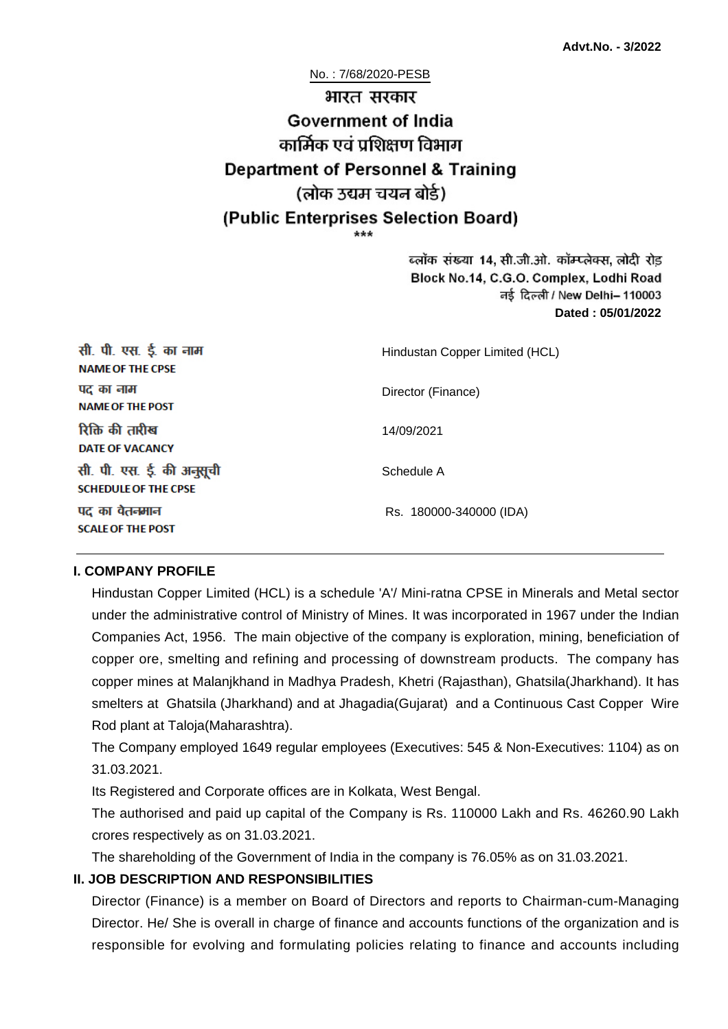No. : 7/68/2020-PESB

# भारत सरकार **Government of India** कार्मिक एवं पशिक्षण विभाग **Department of Personnel & Training** (लोक उद्यम चयन बोर्ड) (Public Enterprises Selection Board)

ब्लॉक संख्या 14, सी.जी.ओ. कॉम्प्लेक्स, लोदी रोड Block No.14, C.G.O. Complex, Lodhi Road ਰई दिल्ली / New Delhi– 110003 **Dated : 05/01/2022**

| सी. पी. एस. ई. का नाम<br><b>NAME OF THE CPSE</b>         | Hindustan Copper Limited (HCL) |
|----------------------------------------------------------|--------------------------------|
| पद का नाम<br><b>NAME OF THE POST</b>                     | Director (Finance)             |
| रिक्ति की तारीख<br><b>DATE OF VACANCY</b>                | 14/09/2021                     |
| सी. पी. एस. ई. की अनुसूची<br><b>SCHEDULE OF THE CPSE</b> | Schedule A                     |
| पद का वेतनमान<br><b>SCALE OF THE POST</b>                | Rs. 180000-340000 (IDA)        |

#### **I. COMPANY PROFILE**

Hindustan Copper Limited (HCL) is a schedule 'A'/ Mini-ratna CPSE in Minerals and Metal sector under the administrative control of Ministry of Mines. It was incorporated in 1967 under the Indian Companies Act, 1956. The main objective of the company is exploration, mining, beneficiation of copper ore, smelting and refining and processing of downstream products. The company has copper mines at Malanjkhand in Madhya Pradesh, Khetri (Rajasthan), Ghatsila(Jharkhand). It has smelters at Ghatsila (Jharkhand) and at Jhagadia(Gujarat) and a Continuous Cast Copper Wire Rod plant at Taloja(Maharashtra).

The Company employed 1649 regular employees (Executives: 545 & Non-Executives: 1104) as on 31.03.2021.

Its Registered and Corporate offices are in Kolkata, West Bengal.

The authorised and paid up capital of the Company is Rs. 110000 Lakh and Rs. 46260.90 Lakh crores respectively as on 31.03.2021.

The shareholding of the Government of India in the company is 76.05% as on 31.03.2021.

### **II. JOB DESCRIPTION AND RESPONSIBILITIES**

Director (Finance) is a member on Board of Directors and reports to Chairman-cum-Managing Director. He/ She is overall in charge of finance and accounts functions of the organization and is responsible for evolving and formulating policies relating to finance and accounts including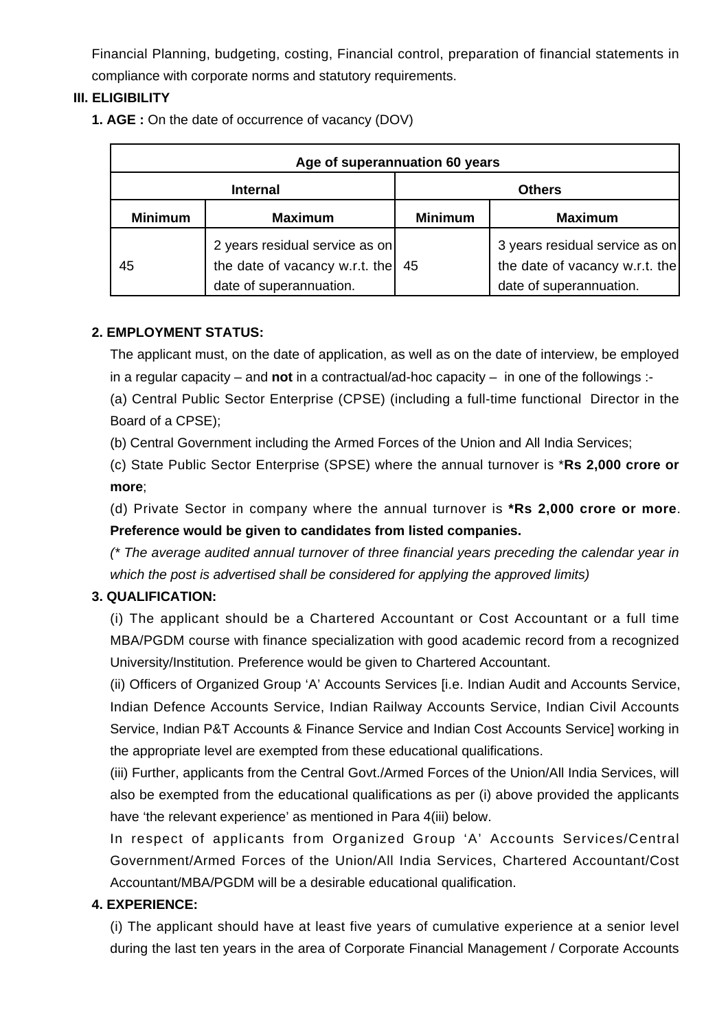Financial Planning, budgeting, costing, Financial control, preparation of financial statements in compliance with corporate norms and statutory requirements.

### **III. ELIGIBILITY**

**1. AGE :** On the date of occurrence of vacancy (DOV)

| Age of superannuation 60 years |                                                                                             |                |                                                                                             |
|--------------------------------|---------------------------------------------------------------------------------------------|----------------|---------------------------------------------------------------------------------------------|
| <b>Internal</b>                |                                                                                             | <b>Others</b>  |                                                                                             |
| <b>Minimum</b>                 | <b>Maximum</b>                                                                              | <b>Minimum</b> | <b>Maximum</b>                                                                              |
| 45                             | 2 years residual service as on<br>the date of vacancy w.r.t. the<br>date of superannuation. | 45             | 3 years residual service as on<br>the date of vacancy w.r.t. the<br>date of superannuation. |

### **2. EMPLOYMENT STATUS:**

The applicant must, on the date of application, as well as on the date of interview, be employed in a regular capacity – and **not** in a contractual/ad-hoc capacity – in one of the followings :-

(a) Central Public Sector Enterprise (CPSE) (including a full-time functional Director in the Board of a CPSE);

(b) Central Government including the Armed Forces of the Union and All India Services;

(c) State Public Sector Enterprise (SPSE) where the annual turnover is \***Rs 2,000 crore or more**;

(d) Private Sector in company where the annual turnover is **\*Rs 2,000 crore or more**. **Preference would be given to candidates from listed companies.**

(\* The average audited annual turnover of three financial years preceding the calendar year in which the post is advertised shall be considered for applying the approved limits)

### **3. QUALIFICATION:**

(i) The applicant should be a Chartered Accountant or Cost Accountant or a full time MBA/PGDM course with finance specialization with good academic record from a recognized University/Institution. Preference would be given to Chartered Accountant.

(ii) Officers of Organized Group 'A' Accounts Services [i.e. Indian Audit and Accounts Service, Indian Defence Accounts Service, Indian Railway Accounts Service, Indian Civil Accounts Service, Indian P&T Accounts & Finance Service and Indian Cost Accounts Service] working in the appropriate level are exempted from these educational qualifications.

(iii) Further, applicants from the Central Govt./Armed Forces of the Union/All India Services, will also be exempted from the educational qualifications as per (i) above provided the applicants have 'the relevant experience' as mentioned in Para 4(iii) below.

In respect of applicants from Organized Group 'A' Accounts Services/Central Government/Armed Forces of the Union/All India Services, Chartered Accountant/Cost Accountant/MBA/PGDM will be a desirable educational qualification.

### **4. EXPERIENCE:**

(i) The applicant should have at least five years of cumulative experience at a senior level during the last ten years in the area of Corporate Financial Management / Corporate Accounts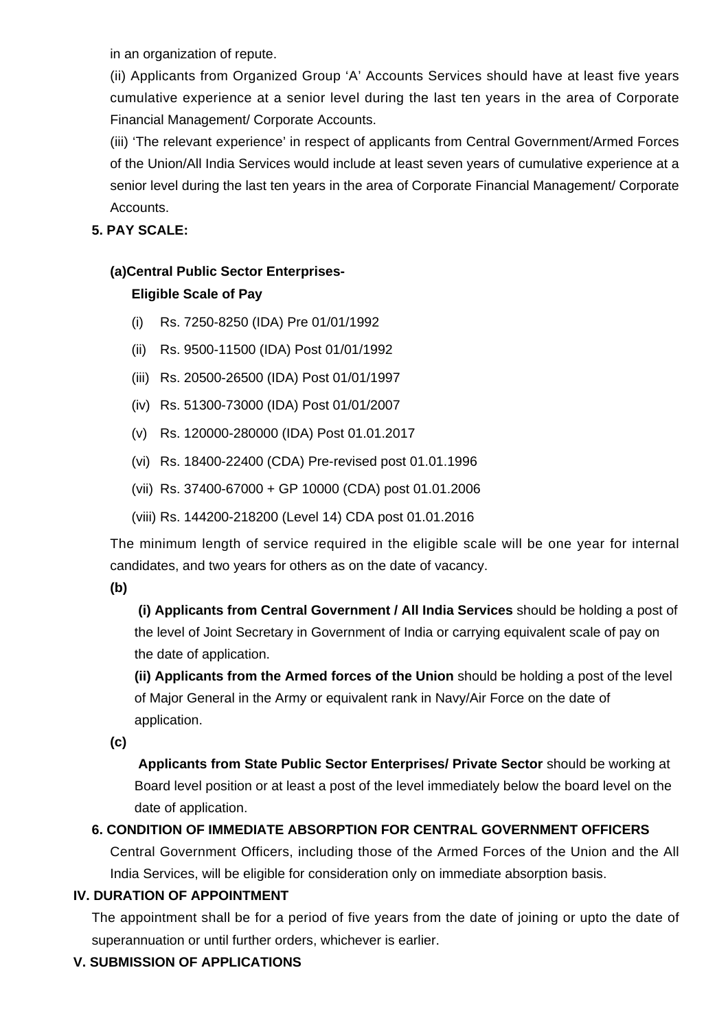in an organization of repute.

(ii) Applicants from Organized Group 'A' Accounts Services should have at least five years cumulative experience at a senior level during the last ten years in the area of Corporate Financial Management/ Corporate Accounts.

(iii) 'The relevant experience' in respect of applicants from Central Government/Armed Forces of the Union/All India Services would include at least seven years of cumulative experience at a senior level during the last ten years in the area of Corporate Financial Management/ Corporate Accounts.

### **5. PAY SCALE:**

# **(a)Central Public Sector Enterprises-**

# **Eligible Scale of Pay**

- (i) Rs. 7250-8250 (IDA) Pre 01/01/1992
- (ii) Rs. 9500-11500 (IDA) Post 01/01/1992
- (iii) Rs. 20500-26500 (IDA) Post 01/01/1997
- (iv) Rs. 51300-73000 (IDA) Post 01/01/2007
- (v) Rs. 120000-280000 (IDA) Post 01.01.2017
- (vi) Rs. 18400-22400 (CDA) Pre-revised post 01.01.1996
- (vii) Rs. 37400-67000 + GP 10000 (CDA) post 01.01.2006
- (viii) Rs. 144200-218200 (Level 14) CDA post 01.01.2016

The minimum length of service required in the eligible scale will be one year for internal candidates, and two years for others as on the date of vacancy.

**(b)**

**(i) Applicants from Central Government / All India Services** should be holding a post of the level of Joint Secretary in Government of India or carrying equivalent scale of pay on the date of application.

**(ii) Applicants from the Armed forces of the Union** should be holding a post of the level of Major General in the Army or equivalent rank in Navy/Air Force on the date of application.

**(c)**

 **Applicants from State Public Sector Enterprises/ Private Sector** should be working at Board level position or at least a post of the level immediately below the board level on the date of application.

# **6. CONDITION OF IMMEDIATE ABSORPTION FOR CENTRAL GOVERNMENT OFFICERS**

Central Government Officers, including those of the Armed Forces of the Union and the All India Services, will be eligible for consideration only on immediate absorption basis.

# **IV. DURATION OF APPOINTMENT**

The appointment shall be for a period of five years from the date of joining or upto the date of superannuation or until further orders, whichever is earlier.

# **V. SUBMISSION OF APPLICATIONS**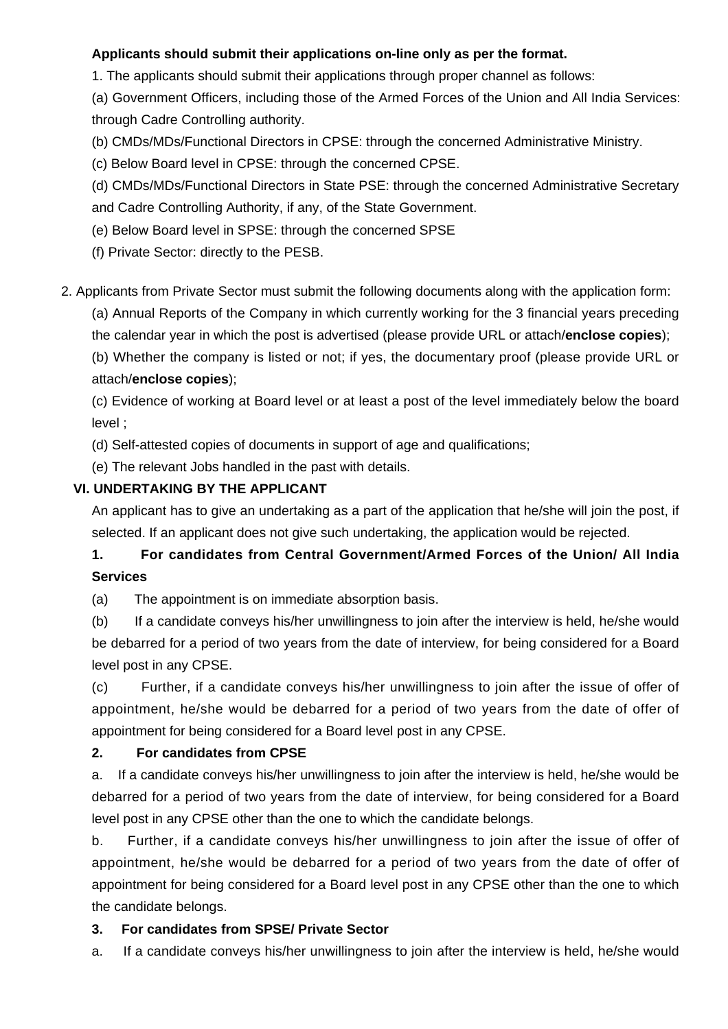### **Applicants should submit their applications on-line only as per the format.**

1. The applicants should submit their applications through proper channel as follows:

(a) Government Officers, including those of the Armed Forces of the Union and All India Services: through Cadre Controlling authority.

- (b) CMDs/MDs/Functional Directors in CPSE: through the concerned Administrative Ministry.
- (c) Below Board level in CPSE: through the concerned CPSE.

(d) CMDs/MDs/Functional Directors in State PSE: through the concerned Administrative Secretary and Cadre Controlling Authority, if any, of the State Government.

- (e) Below Board level in SPSE: through the concerned SPSE
- (f) Private Sector: directly to the PESB.

2. Applicants from Private Sector must submit the following documents along with the application form:

(a) Annual Reports of the Company in which currently working for the 3 financial years preceding the calendar year in which the post is advertised (please provide URL or attach/**enclose copies**);

(b) Whether the company is listed or not; if yes, the documentary proof (please provide URL or attach/**enclose copies**);

(c) Evidence of working at Board level or at least a post of the level immediately below the board level ;

(d) Self-attested copies of documents in support of age and qualifications;

(e) The relevant Jobs handled in the past with details.

### **VI. UNDERTAKING BY THE APPLICANT**

An applicant has to give an undertaking as a part of the application that he/she will join the post, if selected. If an applicant does not give such undertaking, the application would be rejected.

# **1. For candidates from Central Government/Armed Forces of the Union/ All India Services**

(a) The appointment is on immediate absorption basis.

(b) If a candidate conveys his/her unwillingness to join after the interview is held, he/she would be debarred for a period of two years from the date of interview, for being considered for a Board level post in any CPSE.

(c) Further, if a candidate conveys his/her unwillingness to join after the issue of offer of appointment, he/she would be debarred for a period of two years from the date of offer of appointment for being considered for a Board level post in any CPSE.

### **2. For candidates from CPSE**

a. If a candidate conveys his/her unwillingness to join after the interview is held, he/she would be debarred for a period of two years from the date of interview, for being considered for a Board level post in any CPSE other than the one to which the candidate belongs.

b. Further, if a candidate conveys his/her unwillingness to join after the issue of offer of appointment, he/she would be debarred for a period of two years from the date of offer of appointment for being considered for a Board level post in any CPSE other than the one to which the candidate belongs.

# **3. For candidates from SPSE/ Private Sector**

a. If a candidate conveys his/her unwillingness to join after the interview is held, he/she would